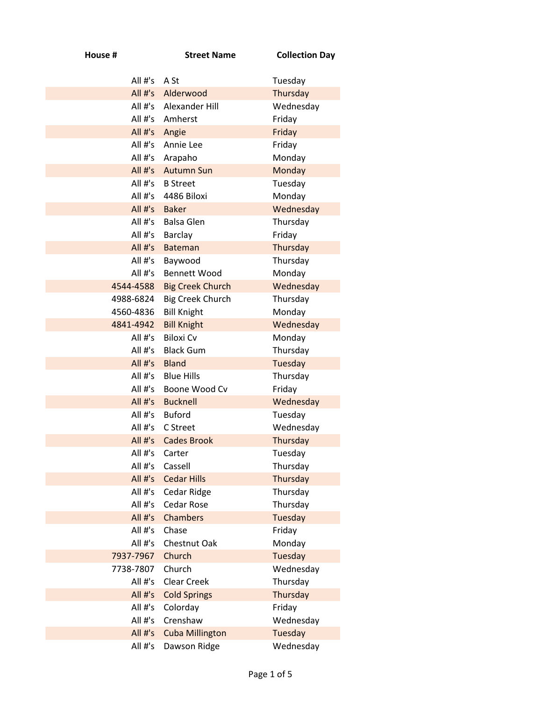| House #                  | <b>Street Name</b>                     | <b>Collection Day</b> |
|--------------------------|----------------------------------------|-----------------------|
| All #'s                  | A St                                   | Tuesday               |
| All $#$ 's               | Alderwood                              | Thursday              |
| All #'s                  | Alexander Hill                         | Wednesday             |
| All #'s                  | Amherst                                | Friday                |
| All $#$ 's               | Angie                                  | Friday                |
| All $#$ 's               | Annie Lee                              | Friday                |
| All #'s                  | Arapaho                                | Monday                |
| All #'s                  | <b>Autumn Sun</b>                      | Monday                |
| All #'s                  | <b>B</b> Street                        | Tuesday               |
| All #'s                  | 4486 Biloxi                            | Monday                |
| All $#$ 's               | <b>Baker</b>                           | Wednesday             |
| All #'s                  | <b>Balsa Glen</b>                      | Thursday              |
| All $#$ 's               | Barclay                                | Friday                |
| All $#$ 's               | <b>Bateman</b>                         | Thursday              |
| All #'s                  | Baywood                                | Thursday              |
| All $#$ 's               | <b>Bennett Wood</b>                    | Monday                |
| 4544-4588                | <b>Big Creek Church</b>                | Wednesday             |
| 4988-6824                | <b>Big Creek Church</b>                | Thursday              |
| 4560-4836                | <b>Bill Knight</b>                     | Monday                |
| 4841-4942                | <b>Bill Knight</b><br><b>Biloxi Cv</b> | Wednesday             |
| All $#$ 's<br>All $#$ 's | <b>Black Gum</b>                       | Monday<br>Thursday    |
| All $#$ 's               | <b>Bland</b>                           | Tuesday               |
| All $#$ 's               | <b>Blue Hills</b>                      | Thursday              |
| All $#$ 's               | Boone Wood Cv                          | Friday                |
| All $#$ 's               | <b>Bucknell</b>                        | Wednesday             |
| All $#$ 's               | <b>Buford</b>                          | Tuesday               |
| All #'s                  | C Street                               | Wednesday             |
| All #'s                  | <b>Cades Brook</b>                     | Thursday              |
| All #'s                  | Carter                                 | Tuesday               |
| All #'s                  | Cassell                                | Thursday              |
| All #'s                  | <b>Cedar Hills</b>                     | Thursday              |
| All #'s                  | Cedar Ridge                            | Thursday              |
| All #'s                  | <b>Cedar Rose</b>                      | Thursday              |
| All #'s                  | <b>Chambers</b>                        | Tuesday               |
| All #'s                  | Chase                                  | Friday                |
| All #'s                  | <b>Chestnut Oak</b>                    | Monday                |
| 7937-7967                | Church                                 | <b>Tuesday</b>        |
| 7738-7807                | Church                                 | Wednesday             |
| All #'s                  | <b>Clear Creek</b>                     | Thursday              |
| All #'s                  | <b>Cold Springs</b>                    | Thursday              |
| All #'s                  | Colorday                               | Friday                |
| All #'s                  | Crenshaw                               | Wednesday             |
| All #'s                  | <b>Cuba Millington</b>                 | <b>Tuesday</b>        |
| All #'s                  | Dawson Ridge                           | Wednesday             |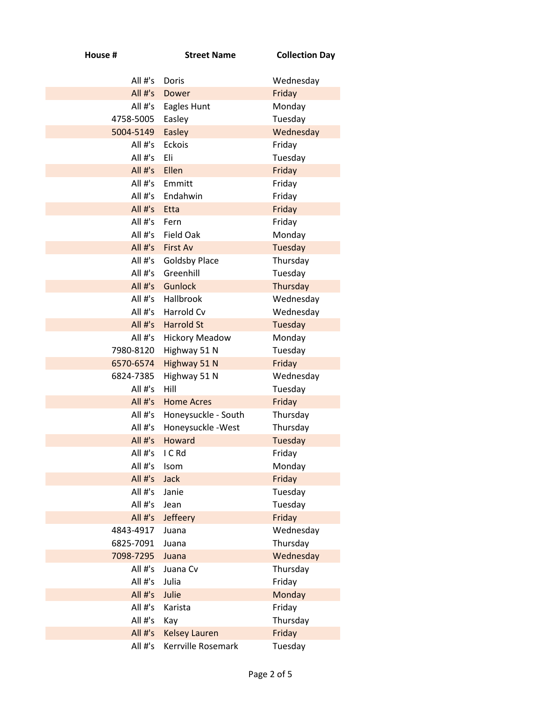| House #              | <b>Street Name</b>                      | <b>Collection Day</b>      |
|----------------------|-----------------------------------------|----------------------------|
| All $#$ 's           | Doris                                   | Wednesday                  |
| All $#$ 's           | <b>Dower</b>                            | Friday                     |
| All #'s              | Eagles Hunt                             | Monday                     |
| 4758-5005            | Easley                                  | Tuesday                    |
| 5004-5149            | Easley                                  | Wednesday                  |
| All #'s              | <b>Eckois</b>                           | Friday                     |
| All $#$ 's           | Eli                                     | Tuesday                    |
| All #'s              | Ellen                                   | Friday                     |
| All #'s              | Emmitt                                  | Friday                     |
| All #'s              | Endahwin                                | Friday                     |
| All #'s              | Etta                                    | Friday                     |
| All $#$ 's           | Fern                                    | Friday                     |
| All #'s              | <b>Field Oak</b>                        | Monday                     |
| All #'s<br>All #'s   | <b>First Av</b><br><b>Goldsby Place</b> | <b>Tuesday</b><br>Thursday |
| All $#$ 's           | Greenhill                               | Tuesday                    |
| All #'s              | <b>Gunlock</b>                          | Thursday                   |
| All #'s              | Hallbrook                               | Wednesday                  |
| All #'s              | Harrold Cv                              | Wednesday                  |
| All #'s              | <b>Harrold St</b>                       | <b>Tuesday</b>             |
| All #'s              | <b>Hickory Meadow</b>                   | Monday                     |
| 7980-8120            | Highway 51 N                            | Tuesday                    |
| 6570-6574            | Highway 51 N                            | Friday                     |
| 6824-7385            | Highway 51 N                            | Wednesday                  |
| All #'s              | Hill                                    | Tuesday                    |
| All #'s              | <b>Home Acres</b>                       | Friday                     |
| All #'s              | Honeysuckle - South                     | Thursday                   |
| All $#$ 's           | Honeysuckle - West                      | Thursday                   |
| All $#^{\prime}$ s   | <b>Howard</b>                           | Tuesday                    |
| All #'s              | I C Rd                                  | Friday                     |
| All #'s              | Isom                                    | Monday                     |
| All $#$ 's           | <b>Jack</b>                             | Friday                     |
| All #'s              | Janie                                   | Tuesday                    |
| All #'s              | Jean                                    | Tuesday                    |
| All #'s<br>4843-4917 | Jeffeery<br>Juana                       | Friday<br>Wednesday        |
| 6825-7091            | Juana                                   | Thursday                   |
| 7098-7295            | Juana                                   | Wednesday                  |
| All #'s              | Juana Cv                                | Thursday                   |
| All #'s              | Julia                                   | Friday                     |
| All #'s              | Julie                                   | Monday                     |
| All #'s              | Karista                                 | Friday                     |
| All #'s              | Kay                                     | Thursday                   |
| All #'s              | <b>Kelsey Lauren</b>                    | Friday                     |
| All #'s              | Kerrville Rosemark                      | Tuesday                    |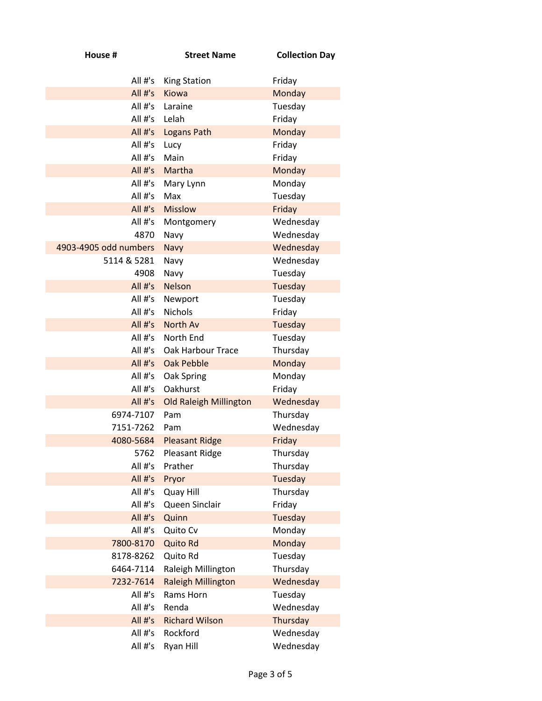| House #               | <b>Street Name</b>            | <b>Collection Day</b> |
|-----------------------|-------------------------------|-----------------------|
| All $#$ 's            | <b>King Station</b>           | Friday                |
| All #'s               | Kiowa                         | Monday                |
| All $#$ 's            | Laraine                       | Tuesday               |
| All #'s               | Lelah                         | Friday                |
| All #'s               | Logans Path                   | Monday                |
| All $#$ 's            | Lucy                          | Friday                |
| All $#$ 's            | Main                          | Friday                |
| All #'s               | Martha                        | Monday                |
| All #'s               | Mary Lynn                     | Monday                |
| All $#$ 's            | Max                           | Tuesday               |
| All $#s$              | <b>Misslow</b>                | Friday                |
| All $#$ 's            | Montgomery                    | Wednesday             |
| 4870                  | Navy                          | Wednesday             |
| 4903-4905 odd numbers | Navy                          | Wednesday             |
| 5114 & 5281           | Navy                          | Wednesday             |
| 4908                  | Navy                          | Tuesday               |
| All #'s               | <b>Nelson</b>                 | Tuesday               |
| All #'s               | Newport                       | Tuesday               |
| All #'s               | <b>Nichols</b>                | Friday                |
| All $#$ 's            | North Av                      | Tuesday               |
| All $#$ 's            | North End                     | Tuesday               |
| All $#$ 's            | Oak Harbour Trace             | Thursday              |
| All $#s$              | <b>Oak Pebble</b>             | Monday                |
| All #'s               | Oak Spring                    | Monday                |
| All $#$ 's            | Oakhurst                      | Friday                |
| All $#s$<br>6974-7107 | <b>Old Raleigh Millington</b> | Wednesday             |
| 7151-7262             | Pam                           | Thursday              |
| 4080-5684             | Pam                           | Wednesday             |
|                       | <b>Pleasant Ridge</b>         | Friday                |
| 5762<br>All #'s       | Pleasant Ridge<br>Prather     | Thursday<br>Thursday  |
| All #'s               | Pryor                         | Tuesday               |
| All #'s               | Quay Hill                     | Thursday              |
| All #'s               | Queen Sinclair                | Friday                |
| All #'s               | Quinn                         | Tuesday               |
| All #'s               | Quito Cv                      | Monday                |
| 7800-8170             | <b>Quito Rd</b>               | Monday                |
| 8178-8262             | Quito Rd                      | Tuesday               |
| 6464-7114             | Raleigh Millington            | Thursday              |
| 7232-7614             | <b>Raleigh Millington</b>     | Wednesday             |
| All #'s               | Rams Horn                     | Tuesday               |
| All #'s               | Renda                         | Wednesday             |
| All #'s               | <b>Richard Wilson</b>         | Thursday              |
| All #'s               | Rockford                      | Wednesday             |
| All #'s               | Ryan Hill                     | Wednesday             |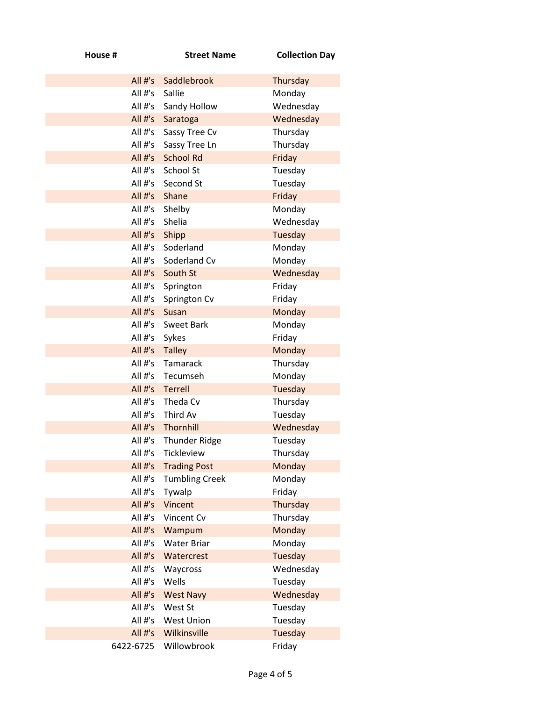| House #                  | <b>Street Name</b>     | <b>Collection Day</b> |
|--------------------------|------------------------|-----------------------|
| All $#^1s$               | Saddlebrook            | Thursday              |
| All $#$ 's               | Sallie                 | Monday                |
| All #'s                  | Sandy Hollow           | Wednesday             |
| $All #'s$                | Saratoga               | Wednesday             |
| All $#$ 's               | Sassy Tree Cv          | Thursday              |
| All $#$ 's               | Sassy Tree Ln          | Thursday              |
| All $#$ 's               | <b>School Rd</b>       | Friday                |
| All #'s                  | School St              | Tuesday               |
| All $#$ 's               | Second St              | Tuesday               |
| All $#$ 's               | Shane                  | Friday                |
| All $#$ 's               | Shelby                 | Monday                |
| All #'s                  | Shelia                 | Wednesday             |
| All $#s$                 | Shipp                  | Tuesday               |
| All $#$ 's               | Soderland              | Monday                |
| All $#$ 's               | Soderland Cv           | Monday                |
| All $#s$                 | South St               | Wednesday             |
| All #'s                  | Springton              | Friday                |
| All #'s                  | Springton Cv           | Friday                |
| All #'s                  | Susan                  | Monday                |
| All $#$ 's<br>All $#$ 's | <b>Sweet Bark</b>      | Monday                |
| $All #'s$                | Sykes<br><b>Talley</b> | Friday<br>Monday      |
| All $#$ 's               | <b>Tamarack</b>        | Thursday              |
| All $#$ 's               | Tecumseh               | Monday                |
| All $#s$                 | <b>Terrell</b>         | Tuesday               |
| All #'s                  | Theda Cv               | Thursday              |
| All #'s                  | Third Av               | Tuesday               |
| All $#s$                 | Thornhill              | Wednesday             |
|                          | All #'s Thunder Ridge  | Tuesday               |
| All #'s                  | Tickleview             | Thursday              |
| All #'s                  | <b>Trading Post</b>    | Monday                |
| All $#$ 's               | <b>Tumbling Creek</b>  | Monday                |
| All #'s                  | Tywalp                 | Friday                |
| All #'s                  | Vincent                | Thursday              |
| All #'s                  | Vincent Cv             | Thursday              |
| All $#s$                 | Wampum                 | Monday                |
| All #'s                  | <b>Water Briar</b>     | Monday                |
| All #'s                  | Watercrest             | Tuesday               |
| All #'s                  | Waycross               | Wednesday             |
| All #'s                  | Wells                  | Tuesday               |
| All #'s                  | <b>West Navy</b>       | Wednesday             |
| All #'s                  | West St                | Tuesday               |
| All #'s                  | <b>West Union</b>      | Tuesday               |
| All $#s$                 | Wilkinsville           | Tuesday               |
| 6422-6725                | Willowbrook            | Friday                |